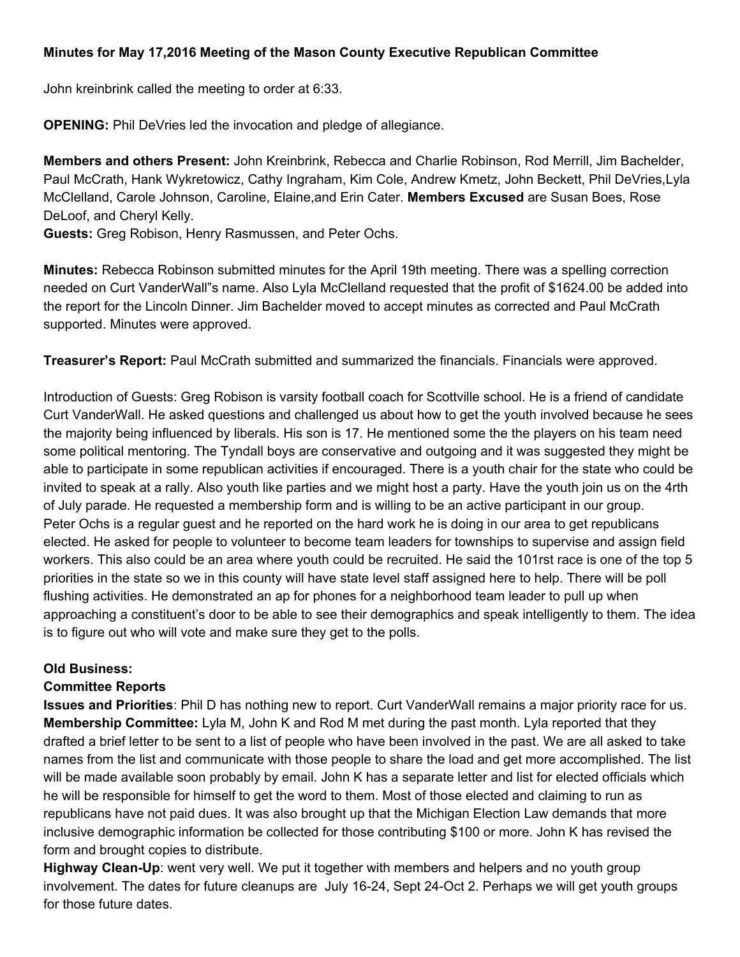## **Minutes for May 17,2016 Meeting of the Mason County Executive Republican Committee**

John kreinbrink called the meeting to order at 6:33.

**OPENING:** Phil DeVries led the invocation and pledge of allegiance.

**Members and others Present:**John Kreinbrink, Rebecca and Charlie Robinson, Rod Merrill, Jim Bachelder, Paul McCrath, Hank Wykretowicz, Cathy Ingraham, Kim Cole, Andrew Kmetz, John Beckett, Phil DeVries,Lyla McClelland, Carole Johnson, Caroline, Elaine,and Erin Cater. **Members Excused**are Susan Boes, Rose DeLoof, and Cheryl Kelly.

**Guests:** Greg Robison, Henry Rasmussen, and Peter Ochs.

**Minutes:**Rebecca Robinson submitted minutes for the April 19th meeting. There was a spelling correction needed on Curt VanderWall"s name. Also Lyla McClelland requested that the profit of \$1624.00 be added into the report for the Lincoln Dinner. Jim Bachelder moved to accept minutes as corrected and Paul McCrath supported. Minutes were approved.

**Treasurer's Report:**Paul McCrath submitted and summarized the financials. Financials were approved.

Introduction of Guests: Greg Robison is varsity football coach for Scottville school. He is a friend of candidate Curt VanderWall. He asked questions and challenged us about how to get the youth involved because he sees the majority being influenced by liberals. His son is 17. He mentioned some the the players on his team need some political mentoring. The Tyndall boys are conservative and outgoing and it was suggested they might be able to participate in some republican activities if encouraged. There is a youth chair for the state who could be invited to speak at a rally. Also youth like parties and we might host a party. Have the youth join us on the 4rth of July parade. He requested a membership form and is willing to be an active participant in our group. Peter Ochs is a regular guest and he reported on the hard work he is doing in our area to get republicans elected. He asked for people to volunteer to become team leaders for townships to supervise and assign field workers. This also could be an area where youth could be recruited. He said the 101rst race is one of the top 5 priorities in the state so we in this county will have state level staff assigned here to help. There will be poll flushing activities. He demonstrated an ap for phones for a neighborhood team leader to pull up when approaching a constituent's door to be able to see their demographics and speak intelligently to them. The idea is to figure out who will vote and make sure they get to the polls.

## **Old Business:**

## **Committee Reports**

**Issues and Priorities**: Phil D has nothing new to report. Curt VanderWall remains a major priority race for us. **Membership Committee:**Lyla M, John K and Rod M met during the past month. Lyla reported that they drafted a brief letter to be sent to a list of people who have been involved in the past. We are all asked to take names from the list and communicate with those people to share the load and get more accomplished. The list will be made available soon probably by email. John K has a separate letter and list for elected officials which he will be responsible for himself to get the word to them. Most of those elected and claiming to run as republicans have not paid dues. It was also brought up that the Michigan Election Law demands that more inclusive demographic information be collected for those contributing \$100 or more. John K has revised the form and brought copies to distribute.

**Highway Clean-Up**: went very well. We put it together with members and helpers and no youth group involvement. The dates for future cleanups are July 16-24, Sept 24-Oct 2. Perhaps we will get youth groups for those future dates.